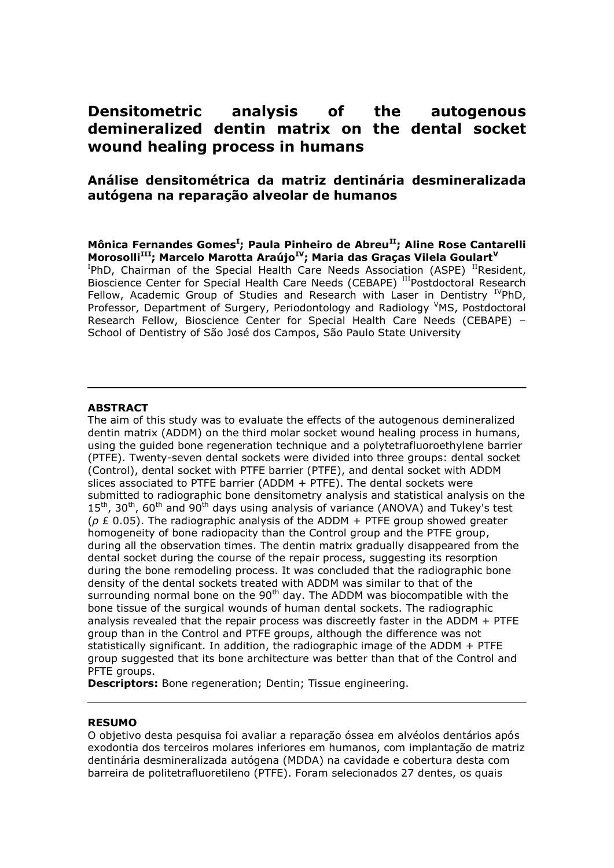# **Densitometric analysis of the autogenous demineralized dentin matrix on the dental socket wound healing process in humans**

## **Aná lise densitomé trica da matriz dentiná ria desmineralizada autó gena na reparaçã o alveolar de humanos**

### **Mô nica Fernandes Gomes<sup>I</sup> ; Paula Pinheiro de AbreuII; Aline Rose Cantarelli MorosolliIII; Marcelo Marotta Araú joIV; Maria das Graças Vilela Goulart<sup>V</sup>**

<sup>I</sup>PhD, Chairman of the Special Health Care Needs Association (ASPE) <sup>II</sup>Resident, Bioscience Center for Special Health Care Needs (CEBAPE) IIIPostdoctoral Research Fellow, Academic Group of Studies and Research with Laser in Dentistry  $I^V$ PhD, Professor, Department of Surgery, Periodontology and Radiology <sup>V</sup>MS, Postdoctoral Research Fellow, Bioscience Center for Special Health Care Needs (CEBAPE) – School of Dentistry of São José dos Campos, São Paulo State University

## **ABSTRACT**

The aim of this study was to evaluate the effects of the autogenous demineralized dentin matrix (ADDM) on the third molar socket wound healing process in humans, using the guided bone regeneration technique and a polytetrafluoroethylene barrier (PTFE). Twenty-seven dental sockets were divided into three groups: dental socket (Control), dental socket with PTFE barrier (PTFE), and dental socket with ADDM slices associated to PTFE barrier (ADDM + PTFE). The dental sockets were submitted to radiographic bone densitometry analysis and statistical analysis on the  $15<sup>th</sup>$ , 30<sup>th</sup>, 60<sup>th</sup> and 90<sup>th</sup> days using analysis of variance (ANOVA) and Tukey's test (*p* £ 0.05). The radiographic analysis of the ADDM + PTFE group showed greater homogeneity of bone radiopacity than the Control group and the PTFE group, during all the observation times. The dentin matrix gradually disappeared from the dental socket during the course of the repair process, suggesting its resorption during the bone remodeling process. It was concluded that the radiographic bone density of the dental sockets treated with ADDM was similar to that of the surrounding normal bone on the  $90<sup>th</sup>$  day. The ADDM was biocompatible with the bone tissue of the surgical wounds of human dental sockets. The radiographic analysis revealed that the repair process was discreetly faster in the ADDM + PTFE group than in the Control and PTFE groups, although the difference was not statistically significant. In addition, the radiographic image of the ADDM + PTFE group suggested that its bone architecture was better than that of the Control and PFTE groups.

**Descriptors:** Bone regeneration; Dentin; Tissue engineering.

#### **RESUMO**

O objetivo desta pesquisa foi avaliar a reparação óssea em alvéolos dentários após exodontia dos terceiros molares inferiores em humanos, com implantação de matriz dentinária desmineralizada autógena (MDDA) na cavidade e cobertura desta com barreira de politetrafluoretileno (PTFE). Foram selecionados 27 dentes, os quais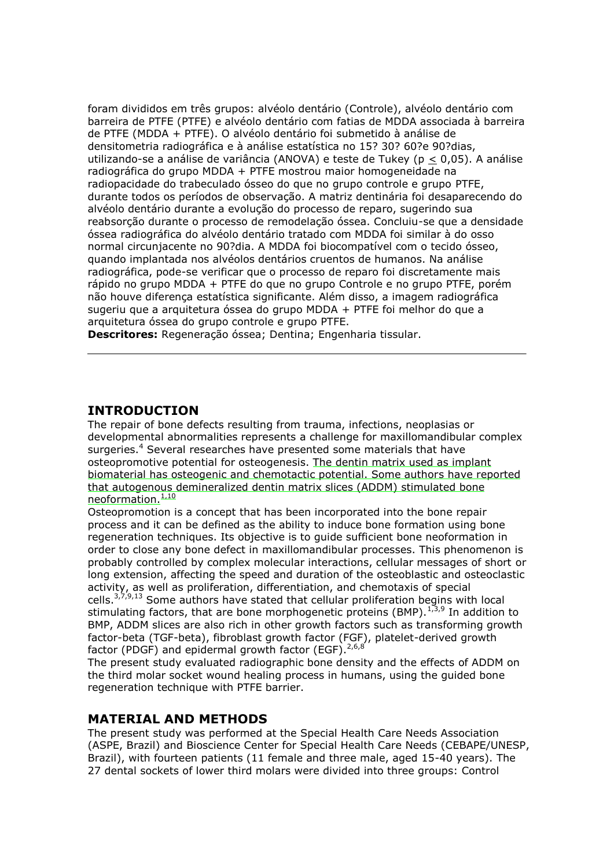foram divididos em três grupos: alvéolo dentário (Controle), alvéolo dentário com barreira de PTFE (PTFE) e alvéolo dentário com fatias de MDDA associada à barreira de PTFE (MDDA + PTFE). O alvéolo dentá rio foi submetido à análise de densitometria radiográ fica e à análise estatística no 15? 30? 60?e 90?dias, utilizando-se a análise de variância (ANOVA) e teste de Tukey (p < 0,05). A análise radiográ fica do grupo MDDA + PTFE mostrou maior homogeneidade na radiopacidade do trabeculado ósseo do que no grupo controle e grupo PTFE, durante todos os períodos de observação. A matriz dentinária foi desaparecendo do alvéolo dentário durante a evolução do processo de reparo, sugerindo sua reabsorção durante o processo de remodelação óssea. Concluiu-se que a densidade óssea radiográ fica do alvéolo dentário tratado com MDDA foi similar à do osso normal circunjacente no 90?dia. A MDDA foi biocompatível com o tecido ósseo, quando implantada nos alvéolos dentá rios cruentos de humanos. Na análise radiográ fica, pode-se verificar que o processo de reparo foi discretamente mais rápido no grupo MDDA + PTFE do que no grupo Controle e no grupo PTFE, porém não houve diferença estatística significante. Além disso, a imagem radiográ fica sugeriu que a arquitetura óssea do grupo MDDA + PTFE foi melhor do que a arquitetura óssea do grupo controle e grupo PTFE.

**Descritores:** Regeneração óssea; Dentina; Engenharia tissular.

## **INTRODUCTION**

The repair of bone defects resulting from trauma, infections, neoplasias or developmental abnormalities represents a challenge for maxillomandibular complex surgeries.<sup>4</sup> Several researches have presented some materials that have osteopromotive potential for osteogenesis. The dentin matrix used as implant biomaterial has osteogenic and chemotactic potential. Some authors have reported that autogenous demineralized dentin matrix slices (ADDM) stimulated bone neoformation.<sup>1,10</sup>

Osteopromotion is a concept that has been incorporated into the bone repair process and it can be defined as the ability to induce bone formation using bone regeneration techniques. Its objective is to guide sufficient bone neoformation in order to close any bone defect in maxillomandibular processes. This phenomenon is probably controlled by complex molecular interactions, cellular messages of short or long extension, affecting the speed and duration of the osteoblastic and osteoclastic activity, as well as proliferation, differentiation, and chemotaxis of special cells. $3,7,9,13$  Some authors have stated that cellular proliferation begins with local stimulating factors, that are bone morphogenetic proteins (BMP).<sup>1,3,9</sup> In addition to BMP, ADDM slices are also rich in other growth factors such as transforming growth factor-beta (TGF-beta), fibroblast growth factor (FGF), platelet-derived growth factor (PDGF) and epidermal growth factor (EGF).<sup>2,6,8</sup>

The present study evaluated radiographic bone density and the effects of ADDM on the third molar socket wound healing process in humans, using the guided bone regeneration technique with PTFE barrier.

## **MATERIAL AND METHODS**

The present study was performed at the Special Health Care Needs Association (ASPE, Brazil) and Bioscience Center for Special Health Care Needs (CEBAPE/UNESP, Brazil), with fourteen patients (11 female and three male, aged 15-40 years). The 27 dental sockets of lower third molars were divided into three groups: Control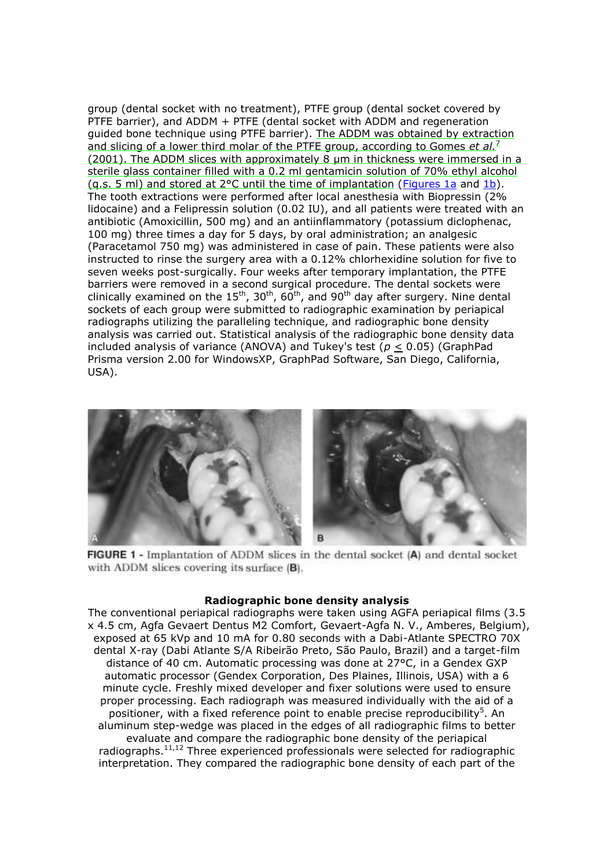group (dental socket with no treatment), PTFE group (dental socket covered by PTFE barrier), and ADDM + PTFE (dental socket with ADDM and regeneration guided bone technique using PTFE barrier). The ADDM was obtained by extraction and slicing of a lower third molar of the PTFE group, according to Gomes *et al.*<sup>7</sup> (2001). The ADDM slices with approximately 8 µm in thickness were immersed in a sterile glass container filled with a 0.2 ml gentamicin solution of 70% ethyl alcohol (q.s. 5 ml) and stored at 2°C until the time of implantation (Figures 1a and 1b). The tooth extractions were performed after local anesthesia with Biopressin (2% lidocaine) and a Felipressin solution (0.02 IU), and all patients were treated with an antibiotic (Amoxicillin, 500 mg) and an antiinflammatory (potassium diclophenac, 100 mg) three times a day for 5 days, by oral administration; an analgesic (Paracetamol 750 mg) was administered in case of pain. These patients were also instructed to rinse the surgery area with a 0.12% chlorhexidine solution for five to seven weeks post-surgically. Four weeks after temporary implantation, the PTFE barriers were removed in a second surgical procedure. The dental sockets were clinically examined on the  $15<sup>th</sup>$ ,  $30<sup>th</sup>$ ,  $60<sup>th</sup>$ , and  $90<sup>th</sup>$  day after surgery. Nine dental sockets of each group were submitted to radiographic examination by periapical radiographs utilizing the paralleling technique, and radiographic bone density analysis was carried out. Statistical analysis of the radiographic bone density data included analysis of variance (ANOVA) and Tukey's test (*p* < 0.05) (GraphPad Prisma version 2.00 for WindowsXP, GraphPad Software, San Diego, California, USA).



**FIGURE 1 -** Implantation of ADDM slices in the dental socket (A) and dental socket with ADDM slices covering its surface  $(B)$ .

#### **Radiographic bone density analysis**

The conventional periapical radiographs were taken using AGFA periapical films (3.5 x 4.5 cm, Agfa Gevaert Dentus M2 Comfort, Gevaert-Agfa N. V., Amberes, Belgium), exposed at 65 kVp and 10 mA for 0.80 seconds with a Dabi-Atlante SPECTRO 70X dental X-ray (Dabi Atlante S/A Ribeirão Preto, São Paulo, Brazil) and a target-film distance of 40 cm. Automatic processing was done at 27°C, in a Gendex GXP automatic processor (Gendex Corporation, Des Plaines, Illinois, USA) with a 6 minute cycle. Freshly mixed developer and fixer solutions were used to ensure proper processing. Each radiograph was measured individually with the aid of a positioner, with a fixed reference point to enable precise reproducibility<sup>5</sup>. An aluminum step-wedge was placed in the edges of all radiographic films to better evaluate and compare the radiographic bone density of the periapical radiographs.<sup>11,12</sup> Three experienced professionals were selected for radiographic

interpretation. They compared the radiographic bone density of each part of the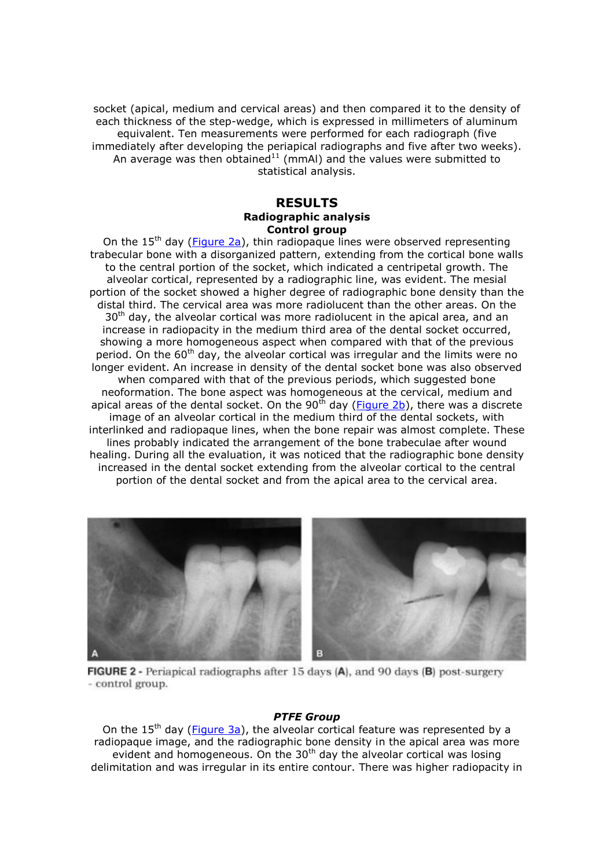socket (apical, medium and cervical areas) and then compared it to the density of each thickness of the step-wedge, which is expressed in millimeters of aluminum equivalent. Ten measurements were performed for each radiograph (five immediately after developing the periapical radiographs and five after two weeks). An average was then obtained $11$  (mmAl) and the values were submitted to statistical analysis.

## **RESULTS Radiographic analysis Control group**

On the 15<sup>th</sup> day (**Figure 2a**), thin radiopaque lines were observed representing trabecular bone with a disorganized pattern, extending from the cortical bone walls to the central portion of the socket, which indicated a centripetal growth. The alveolar cortical, represented by a radiographic line, was evident. The mesial portion of the socket showed a higher degree of radiographic bone density than the distal third. The cervical area was more radiolucent than the other areas. On the  $30<sup>th</sup>$  day, the alveolar cortical was more radiolucent in the apical area, and an increase in radiopacity in the medium third area of the dental socket occurred, showing a more homogeneous aspect when compared with that of the previous period. On the  $60<sup>th</sup>$  day, the alveolar cortical was irregular and the limits were no longer evident. An increase in density of the dental socket bone was also observed when compared with that of the previous periods, which suggested bone neoformation. The bone aspect was homogeneous at the cervical, medium and apical areas of the dental socket. On the  $90<sup>th</sup>$  day (**Figure 2b**), there was a discrete image of an alveolar cortical in the medium third of the dental sockets, with interlinked and radiopaque lines, when the bone repair was almost complete. These lines probably indicated the arrangement of the bone trabeculae after wound healing. During all the evaluation, it was noticed that the radiographic bone density increased in the dental socket extending from the alveolar cortical to the central portion of the dental socket and from the apical area to the cervical area.



FIGURE 2 - Periapical radiographs after 15 days (A), and 90 days (B) post-surgery - control group.

#### *PTFE Group*

On the 15<sup>th</sup> day (**Figure 3a**), the alveolar cortical feature was represented by a radiopaque image, and the radiographic bone density in the apical area was more evident and homogeneous. On the  $30<sup>th</sup>$  day the alveolar cortical was losing delimitation and was irregular in its entire contour. There was higher radiopacity in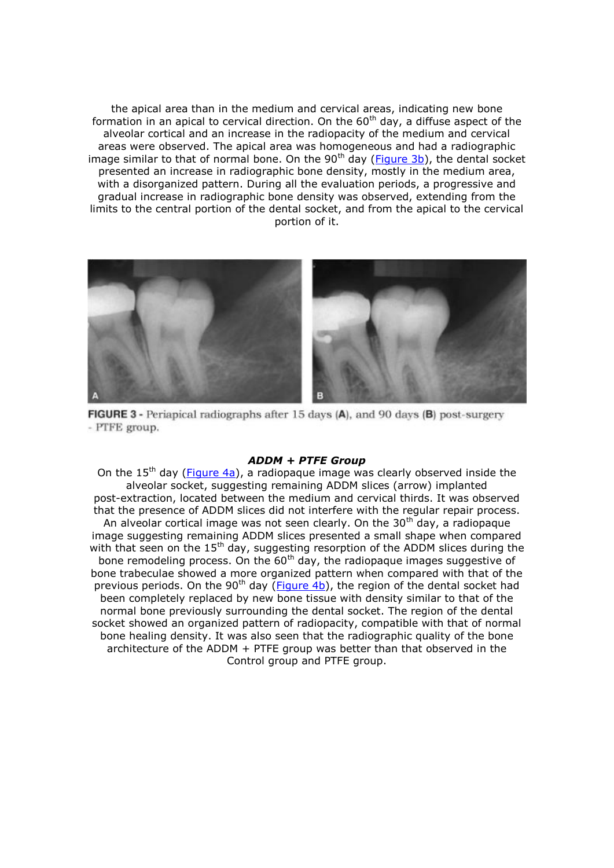the apical area than in the medium and cervical areas, indicating new bone formation in an apical to cervical direction. On the  $60<sup>th</sup>$  day, a diffuse aspect of the alveolar cortical and an increase in the radiopacity of the medium and cervical areas were observed. The apical area was homogeneous and had a radiographic image similar to that of normal bone. On the  $90<sup>th</sup>$  day (Figure 3b), the dental socket presented an increase in radiographic bone density, mostly in the medium area, with a disorganized pattern. During all the evaluation periods, a progressive and gradual increase in radiographic bone density was observed, extending from the limits to the central portion of the dental socket, and from the apical to the cervical portion of it.



FIGURE 3 - Periapical radiographs after 15 days (A), and 90 days (B) post-surgery - PTFE group.

#### *ADDM + PTFE Group*

On the 15<sup>th</sup> day (Figure 4a), a radiopaque image was clearly observed inside the alveolar socket, suggesting remaining ADDM slices (arrow) implanted post-extraction, located between the medium and cervical thirds. It was observed that the presence of ADDM slices did not interfere with the regular repair process. An alveolar cortical image was not seen clearly. On the  $30<sup>th</sup>$  day, a radiopaque image suggesting remaining ADDM slices presented a small shape when compared with that seen on the  $15<sup>th</sup>$  day, suggesting resorption of the ADDM slices during the bone remodeling process. On the  $60<sup>th</sup>$  day, the radiopaque images suggestive of bone trabeculae showed a more organized pattern when compared with that of the previous periods. On the 90<sup>th</sup> day (**Figure 4b**), the region of the dental socket had been completely replaced by new bone tissue with density similar to that of the normal bone previously surrounding the dental socket. The region of the dental socket showed an organized pattern of radiopacity, compatible with that of normal bone healing density. It was also seen that the radiographic quality of the bone architecture of the ADDM + PTFE group was better than that observed in the Control group and PTFE group.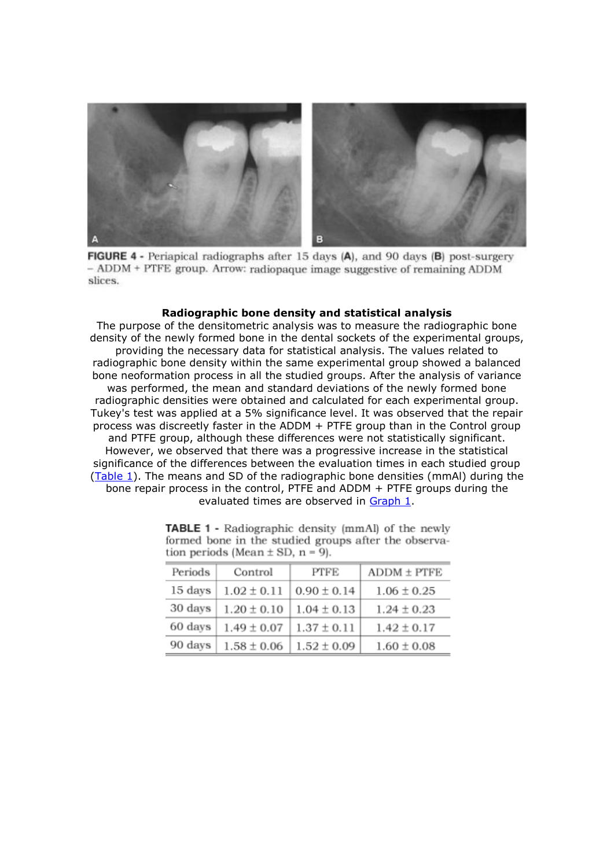

FIGURE 4 - Periapical radiographs after 15 days (A), and 90 days (B) post-surgery - ADDM + PTFE group. Arrow: radiopaque image suggestive of remaining ADDM slices.

#### **Radiographic bone density and statistical analysis**

The purpose of the densitometric analysis was to measure the radiographic bone density of the newly formed bone in the dental sockets of the experimental groups, providing the necessary data for statistical analysis. The values related to radiographic bone density within the same experimental group showed a balanced bone neoformation process in all the studied groups. After the analysis of variance was performed, the mean and standard deviations of the newly formed bone radiographic densities were obtained and calculated for each experimental group. Tukey's test was applied at a 5% significance level. It was observed that the repair process was discreetly faster in the ADDM + PTFE group than in the Control group and PTFE group, although these differences were not statistically significant. However, we observed that there was a progressive increase in the statistical significance of the differences between the evaluation times in each studied group (Table 1). The means and SD of the radiographic bone densities (mmAl) during the bone repair process in the control, PTFE and ADDM + PTFE groups during the evaluated times are observed in Graph 1.

| tion periods (mean $\pm$ 5D, n = 9). |                                   |                 |                 |
|--------------------------------------|-----------------------------------|-----------------|-----------------|
| Periods                              | Control                           | PTFE            | $ADDM \pm PTFE$ |
| 15 days                              | $1.02 \pm 0.11$                   | $0.90 \pm 0.14$ | $1.06 \pm 0.25$ |
| 30 days                              | $1.20 \pm 0.10$                   | $1.04 \pm 0.13$ | $1.24 \pm 0.23$ |
| 60 days                              | $1.49 \pm 0.07$                   | $1.37 \pm 0.11$ | $1.42 \pm 0.17$ |
| $90 \text{ days}$                    | $1.58 \pm 0.06$   $1.52 \pm 0.09$ |                 | $1.60 \pm 0.08$ |

**TABLE 1 -** Radiographic density (mmAl) of the newly formed bone in the studied groups after the observa- $\lambda$  de  $M$ ean +  $\sigma$ D n -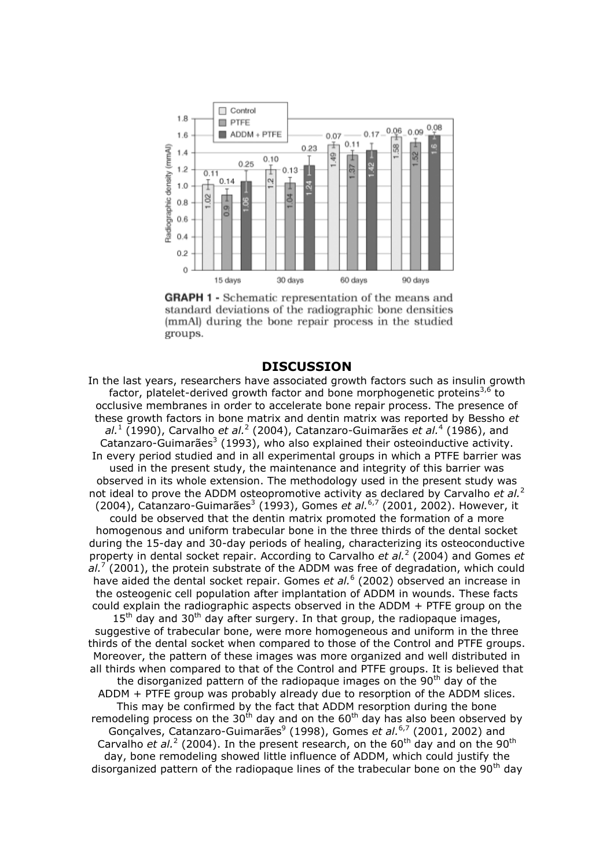

**GRAPH 1 -** Schematic representation of the means and standard deviations of the radiographic bone densities (mmAl) during the bone repair process in the studied groups.

## **DISCUSSION**

In the last years, researchers have associated growth factors such as insulin growth factor, platelet-derived growth factor and bone morphogenetic proteins<sup>3,6</sup> to occlusive membranes in order to accelerate bone repair process. The presence of these growth factors in bone matrix and dentin matrix was reported by Bessho *et*  al.<sup>1</sup> (1990), Carvalho *et al.*<sup>2</sup> (2004), Catanzaro-Guimarães *et al.*<sup>4</sup> (1986), and Catanzaro-Guimarães<sup>3</sup> (1993), who also explained their osteoinductive activity. In every period studied and in all experimental groups in which a PTFE barrier was used in the present study, the maintenance and integrity of this barrier was observed in its whole extension. The methodology used in the present study was not ideal to prove the ADDM osteopromotive activity as declared by Carvalho *et al.*<sup>2</sup> (2004), Catanzaro-Guimarães<sup>3</sup> (1993), Gomes *et al.*<sup>6,7</sup> (2001, 2002). However, it could be observed that the dentin matrix promoted the formation of a more homogenous and uniform trabecular bone in the three thirds of the dental socket during the 15-day and 30-day periods of healing, characterizing its osteoconductive property in dental socket repair. According to Carvalho *et al.*<sup>2</sup> (2004) and Gomes *et*  al.<sup>7</sup> (2001), the protein substrate of the ADDM was free of degradation, which could have aided the dental socket repair. Gomes et al.<sup>6</sup> (2002) observed an increase in the osteogenic cell population after implantation of ADDM in wounds. These facts could explain the radiographic aspects observed in the ADDM + PTFE group on the  $15<sup>th</sup>$  day and 30<sup>th</sup> day after surgery. In that group, the radiopaque images, suggestive of trabecular bone, were more homogeneous and uniform in the three thirds of the dental socket when compared to those of the Control and PTFE groups. Moreover, the pattern of these images was more organized and well distributed in all thirds when compared to that of the Control and PTFE groups. It is believed that the disorganized pattern of the radiopaque images on the 90<sup>th</sup> day of the ADDM + PTFE group was probably already due to resorption of the ADDM slices. This may be confirmed by the fact that ADDM resorption during the bone remodeling process on the 30<sup>th</sup> day and on the  $60<sup>th</sup>$  day has also been observed by Gonçalves, Catanzaro-Guimarães<sup>9</sup> (1998), Gomes et al.<sup>6,7</sup> (2001, 2002) and Carvalho *et al.*<sup>2</sup> (2004). In the present research, on the 60<sup>th</sup> day and on the 90<sup>th</sup> day, bone remodeling showed little influence of ADDM, which could justify the disorganized pattern of the radiopaque lines of the trabecular bone on the 90<sup>th</sup> day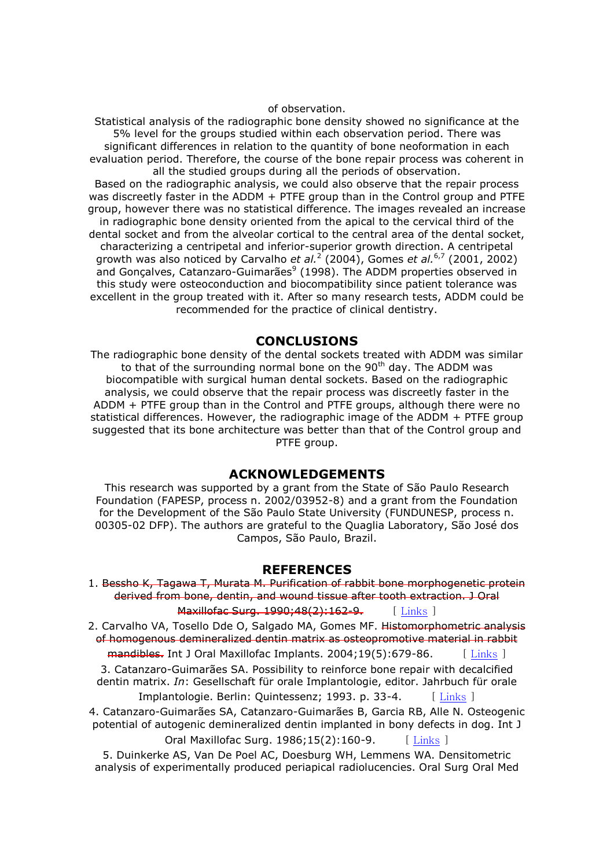#### of observation.

Statistical analysis of the radiographic bone density showed no significance at the 5% level for the groups studied within each observation period. There was significant differences in relation to the quantity of bone neoformation in each evaluation period. Therefore, the course of the bone repair process was coherent in all the studied groups during all the periods of observation.

Based on the radiographic analysis, we could also observe that the repair process was discreetly faster in the ADDM + PTFE group than in the Control group and PTFE group, however there was no statistical difference. The images revealed an increase in radiographic bone density oriented from the apical to the cervical third of the dental socket and from the alveolar cortical to the central area of the dental socket, characterizing a centripetal and inferior-superior growth direction. A centripetal growth was also noticed by Carvalho *et al.*<sup>2</sup> (2004), Gomes *et al.*<sup>6,7</sup> (2001, 2002) and Gonçalves, Catanzaro-Guimarães<sup>9</sup> (1998). The ADDM properties observed in this study were osteoconduction and biocompatibility since patient tolerance was excellent in the group treated with it. After so many research tests, ADDM could be recommended for the practice of clinical dentistry.

## **CONCLUSIONS**

The radiographic bone density of the dental sockets treated with ADDM was similar to that of the surrounding normal bone on the 90<sup>th</sup> day. The ADDM was biocompatible with surgical human dental sockets. Based on the radiographic analysis, we could observe that the repair process was discreetly faster in the ADDM + PTFE group than in the Control and PTFE groups, although there were no statistical differences. However, the radiographic image of the ADDM + PTFE group suggested that its bone architecture was better than that of the Control group and PTFE group.

## **ACKNOWLEDGEMENTS**

This research was supported by a grant from the State of São Paulo Research Foundation (FAPESP, process n. 2002/03952-8) and a grant from the Foundation for the Development of the São Paulo State University (FUNDUNESP, process n. 00305-02 DFP). The authors are grateful to the Quaglia Laboratory, São José dos Campos, São Paulo, Brazil.

### **REFERENCES**

```
1. Bessho K, Tagawa T, Murata M. Purification of rabbit bone morphogenetic protein 
derived from bone, dentin, and wound tissue after tooth extraction. J Oral
```
Maxillofac Surg. 1990;48(2):162-9. [Links ]

2. Carvalho VA, Tosello Dde O, Salgado MA, Gomes MF. Histomorphometric analysis of homogenous demineralized dentin matrix as osteopromotive material in rabbit

 $m$ andibles. Int J Oral Maxillofac Implants. 2004;19(5):679-86. [Links ] 3. Catanzaro-Guimarães SA. Possibility to reinforce bone repair with decalcified dentin matrix. *In*: Gesellschaft für orale Implantologie, editor. Jahrbuch für orale Implantologie. Berlin: Quintessenz; 1993. p. 33-4. [Links ]

4. Catanzaro-Guimarães SA, Catanzaro-Guimarães B, Garcia RB, Alle N. Osteogenic potential of autogenic demineralized dentin implanted in bony defects in dog. Int J

Oral Maxillofac Surg. 1986;15(2):160-9. [Links ]

5. Duinkerke AS, Van De Poel AC, Doesburg WH, Lemmens WA. Densitometric analysis of experimentally produced periapical radiolucencies. Oral Surg Oral Med